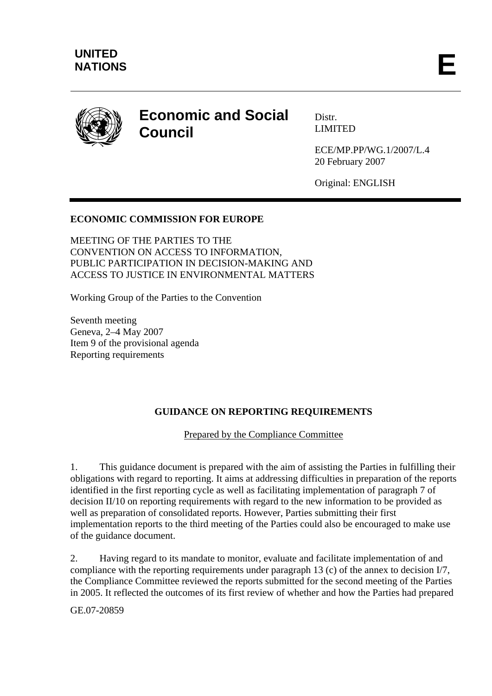

# **Economic and Social Council**

Distr. LIMITED

ECE/MP.PP/WG.1/2007/L.4 20 February 2007

Original: ENGLISH

## **ECONOMIC COMMISSION FOR EUROPE**

MEETING OF THE PARTIES TO THE CONVENTION ON ACCESS TO INFORMATION, PUBLIC PARTICIPATION IN DECISION-MAKING AND ACCESS TO JUSTICE IN ENVIRONMENTAL MATTERS

Working Group of the Parties to the Convention

Seventh meeting Geneva, 2–4 May 2007 Item 9 of the provisional agenda Reporting requirements

#### **GUIDANCE ON REPORTING REQUIREMENTS**

Prepared by the Compliance Committee

1. This guidance document is prepared with the aim of assisting the Parties in fulfilling their obligations with regard to reporting. It aims at addressing difficulties in preparation of the reports identified in the first reporting cycle as well as facilitating implementation of paragraph 7 of decision II/10 on reporting requirements with regard to the new information to be provided as well as preparation of consolidated reports. However, Parties submitting their first implementation reports to the third meeting of the Parties could also be encouraged to make use of the guidance document.

2. Having regard to its mandate to monitor, evaluate and facilitate implementation of and compliance with the reporting requirements under paragraph 13 (c) of the annex to decision I/7, the Compliance Committee reviewed the reports submitted for the second meeting of the Parties in 2005. It reflected the outcomes of its first review of whether and how the Parties had prepared

GE.07-20859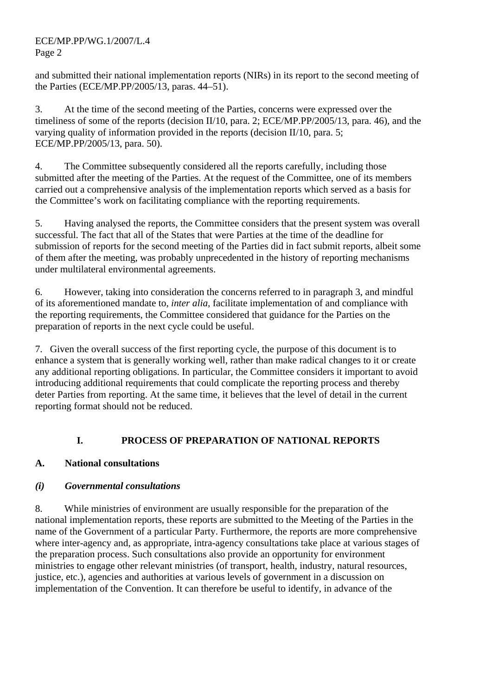ECE/MP.PP/WG.1/2007/L.4 Page 2

and submitted their national implementation reports (NIRs) in its report to the second meeting of the Parties (ECE/MP.PP/2005/13, paras. 44–51).

3. At the time of the second meeting of the Parties, concerns were expressed over the timeliness of some of the reports (decision II/10, para. 2; ECE/MP.PP/2005/13, para. 46), and the varying quality of information provided in the reports (decision II/10, para. 5; ECE/MP.PP/2005/13, para. 50).

4. The Committee subsequently considered all the reports carefully, including those submitted after the meeting of the Parties. At the request of the Committee, one of its members carried out a comprehensive analysis of the implementation reports which served as a basis for the Committee's work on facilitating compliance with the reporting requirements.

5. Having analysed the reports, the Committee considers that the present system was overall successful. The fact that all of the States that were Parties at the time of the deadline for submission of reports for the second meeting of the Parties did in fact submit reports, albeit some of them after the meeting, was probably unprecedented in the history of reporting mechanisms under multilateral environmental agreements.

6. However, taking into consideration the concerns referred to in paragraph 3, and mindful of its aforementioned mandate to, *inter alia,* facilitate implementation of and compliance with the reporting requirements, the Committee considered that guidance for the Parties on the preparation of reports in the next cycle could be useful.

7. Given the overall success of the first reporting cycle, the purpose of this document is to enhance a system that is generally working well, rather than make radical changes to it or create any additional reporting obligations. In particular, the Committee considers it important to avoid introducing additional requirements that could complicate the reporting process and thereby deter Parties from reporting. At the same time, it believes that the level of detail in the current reporting format should not be reduced.

# **I. PROCESS OF PREPARATION OF NATIONAL REPORTS**

## **A. National consultations**

# *(i) Governmental consultations*

8. While ministries of environment are usually responsible for the preparation of the national implementation reports, these reports are submitted to the Meeting of the Parties in the name of the Government of a particular Party. Furthermore, the reports are more comprehensive where inter-agency and, as appropriate, intra-agency consultations take place at various stages of the preparation process. Such consultations also provide an opportunity for environment ministries to engage other relevant ministries (of transport, health, industry, natural resources, justice, etc.), agencies and authorities at various levels of government in a discussion on implementation of the Convention. It can therefore be useful to identify, in advance of the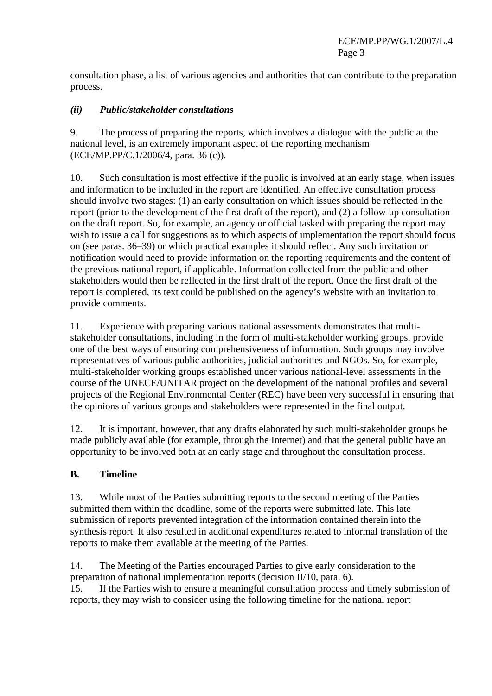consultation phase, a list of various agencies and authorities that can contribute to the preparation process.

## *(ii) Public/stakeholder consultations*

9. The process of preparing the reports, which involves a dialogue with the public at the national level, is an extremely important aspect of the reporting mechanism (ECE/MP.PP/C.1/2006/4, para. 36 (c)).

10. Such consultation is most effective if the public is involved at an early stage, when issues and information to be included in the report are identified. An effective consultation process should involve two stages: (1) an early consultation on which issues should be reflected in the report (prior to the development of the first draft of the report), and (2) a follow-up consultation on the draft report. So, for example, an agency or official tasked with preparing the report may wish to issue a call for suggestions as to which aspects of implementation the report should focus on (see paras. 36–39) or which practical examples it should reflect. Any such invitation or notification would need to provide information on the reporting requirements and the content of the previous national report, if applicable. Information collected from the public and other stakeholders would then be reflected in the first draft of the report. Once the first draft of the report is completed, its text could be published on the agency's website with an invitation to provide comments.

11. Experience with preparing various national assessments demonstrates that multistakeholder consultations, including in the form of multi-stakeholder working groups, provide one of the best ways of ensuring comprehensiveness of information. Such groups may involve representatives of various public authorities, judicial authorities and NGOs. So, for example, multi-stakeholder working groups established under various national-level assessments in the course of the UNECE/UNITAR project on the development of the national profiles and several projects of the Regional Environmental Center (REC) have been very successful in ensuring that the opinions of various groups and stakeholders were represented in the final output.

12. It is important, however, that any drafts elaborated by such multi-stakeholder groups be made publicly available (for example, through the Internet) and that the general public have an opportunity to be involved both at an early stage and throughout the consultation process.

#### **B. Timeline**

13. While most of the Parties submitting reports to the second meeting of the Parties submitted them within the deadline, some of the reports were submitted late. This late submission of reports prevented integration of the information contained therein into the synthesis report. It also resulted in additional expenditures related to informal translation of the reports to make them available at the meeting of the Parties.

14. The Meeting of the Parties encouraged Parties to give early consideration to the preparation of national implementation reports (decision II/10, para. 6).

15. If the Parties wish to ensure a meaningful consultation process and timely submission of reports, they may wish to consider using the following timeline for the national report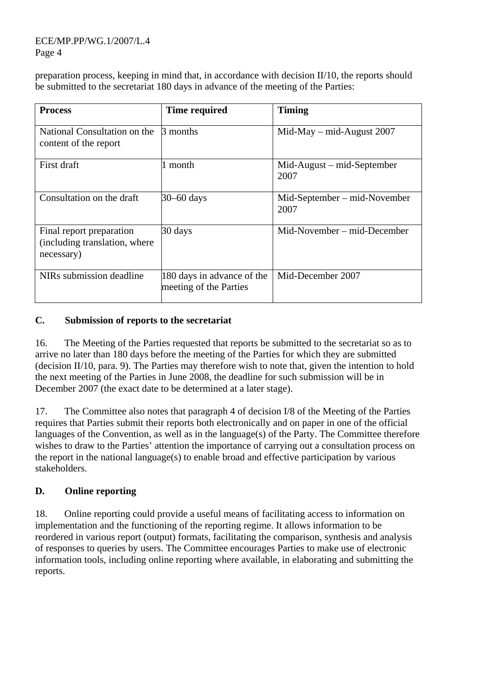ECE/MP.PP/WG.1/2007/L.4 Page 4

preparation process, keeping in mind that, in accordance with decision II/10, the reports should be submitted to the secretariat 180 days in advance of the meeting of the Parties:

| <b>Process</b>                                                          | <b>Time required</b>                                 | <b>Timing</b>                         |
|-------------------------------------------------------------------------|------------------------------------------------------|---------------------------------------|
| National Consultation on the<br>content of the report                   | 3 months                                             | $Mid$ -May – mid-August 2007          |
| First draft                                                             | 1 month                                              | $Mid$ -August – mid-September<br>2007 |
| Consultation on the draft                                               | 30-60 days                                           | Mid-September – mid-November<br>2007  |
| Final report preparation<br>(including translation, where<br>necessary) | 30 days                                              | Mid-November – mid-December           |
| NIRs submission deadline                                                | 180 days in advance of the<br>meeting of the Parties | Mid-December 2007                     |

#### **C. Submission of reports to the secretariat**

16. The Meeting of the Parties requested that reports be submitted to the secretariat so as to arrive no later than 180 days before the meeting of the Parties for which they are submitted (decision II/10, para. 9). The Parties may therefore wish to note that, given the intention to hold the next meeting of the Parties in June 2008, the deadline for such submission will be in December 2007 (the exact date to be determined at a later stage).

17. The Committee also notes that paragraph 4 of decision I/8 of the Meeting of the Parties requires that Parties submit their reports both electronically and on paper in one of the official languages of the Convention, as well as in the language(s) of the Party. The Committee therefore wishes to draw to the Parties' attention the importance of carrying out a consultation process on the report in the national language(s) to enable broad and effective participation by various stakeholders.

#### **D. Online reporting**

18. Online reporting could provide a useful means of facilitating access to information on implementation and the functioning of the reporting regime. It allows information to be reordered in various report (output) formats, facilitating the comparison, synthesis and analysis of responses to queries by users. The Committee encourages Parties to make use of electronic information tools, including online reporting where available, in elaborating and submitting the reports.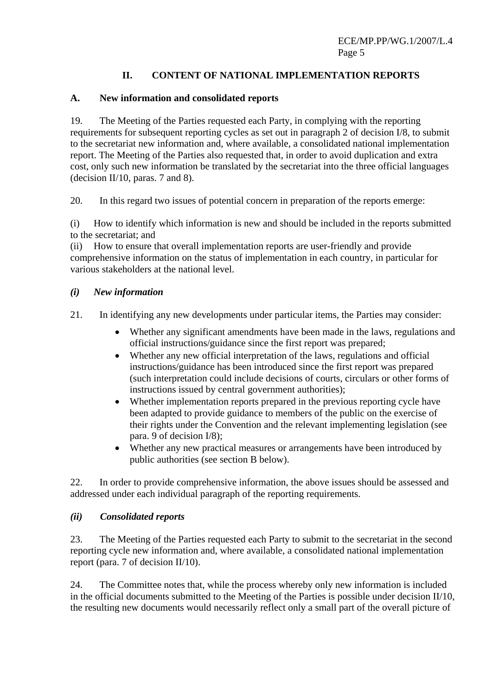## **II. CONTENT OF NATIONAL IMPLEMENTATION REPORTS**

## **A. New information and consolidated reports**

19. The Meeting of the Parties requested each Party, in complying with the reporting requirements for subsequent reporting cycles as set out in paragraph 2 of decision I/8, to submit to the secretariat new information and, where available, a consolidated national implementation report. The Meeting of the Parties also requested that, in order to avoid duplication and extra cost, only such new information be translated by the secretariat into the three official languages (decision II/10, paras. 7 and 8).

20. In this regard two issues of potential concern in preparation of the reports emerge:

(i) How to identify which information is new and should be included in the reports submitted to the secretariat; and

(ii) How to ensure that overall implementation reports are user-friendly and provide comprehensive information on the status of implementation in each country, in particular for various stakeholders at the national level.

#### *(i) New information*

21. In identifying any new developments under particular items, the Parties may consider:

- Whether any significant amendments have been made in the laws, regulations and official instructions/guidance since the first report was prepared;
- Whether any new official interpretation of the laws, regulations and official instructions/guidance has been introduced since the first report was prepared (such interpretation could include decisions of courts, circulars or other forms of instructions issued by central government authorities);
- Whether implementation reports prepared in the previous reporting cycle have been adapted to provide guidance to members of the public on the exercise of their rights under the Convention and the relevant implementing legislation (see para. 9 of decision I/8);
- Whether any new practical measures or arrangements have been introduced by public authorities (see section B below).

22. In order to provide comprehensive information, the above issues should be assessed and addressed under each individual paragraph of the reporting requirements.

#### *(ii) Consolidated reports*

23. The Meeting of the Parties requested each Party to submit to the secretariat in the second reporting cycle new information and, where available, a consolidated national implementation report (para. 7 of decision II/10).

24. The Committee notes that, while the process whereby only new information is included in the official documents submitted to the Meeting of the Parties is possible under decision II/10, the resulting new documents would necessarily reflect only a small part of the overall picture of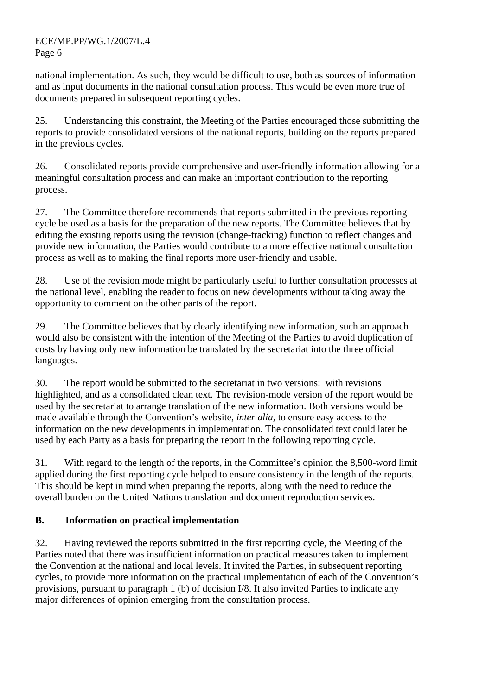national implementation. As such, they would be difficult to use, both as sources of information and as input documents in the national consultation process. This would be even more true of documents prepared in subsequent reporting cycles.

25. Understanding this constraint, the Meeting of the Parties encouraged those submitting the reports to provide consolidated versions of the national reports, building on the reports prepared in the previous cycles.

26. Consolidated reports provide comprehensive and user-friendly information allowing for a meaningful consultation process and can make an important contribution to the reporting process.

27. The Committee therefore recommends that reports submitted in the previous reporting cycle be used as a basis for the preparation of the new reports. The Committee believes that by editing the existing reports using the revision (change-tracking) function to reflect changes and provide new information, the Parties would contribute to a more effective national consultation process as well as to making the final reports more user-friendly and usable.

28. Use of the revision mode might be particularly useful to further consultation processes at the national level, enabling the reader to focus on new developments without taking away the opportunity to comment on the other parts of the report.

29. The Committee believes that by clearly identifying new information, such an approach would also be consistent with the intention of the Meeting of the Parties to avoid duplication of costs by having only new information be translated by the secretariat into the three official languages.

30. The report would be submitted to the secretariat in two versions: with revisions highlighted, and as a consolidated clean text. The revision-mode version of the report would be used by the secretariat to arrange translation of the new information. Both versions would be made available through the Convention's website, *inter alia,* to ensure easy access to the information on the new developments in implementation. The consolidated text could later be used by each Party as a basis for preparing the report in the following reporting cycle.

31. With regard to the length of the reports, in the Committee's opinion the 8,500-word limit applied during the first reporting cycle helped to ensure consistency in the length of the reports. This should be kept in mind when preparing the reports, along with the need to reduce the overall burden on the United Nations translation and document reproduction services.

# **B. Information on practical implementation**

32. Having reviewed the reports submitted in the first reporting cycle, the Meeting of the Parties noted that there was insufficient information on practical measures taken to implement the Convention at the national and local levels. It invited the Parties, in subsequent reporting cycles, to provide more information on the practical implementation of each of the Convention's provisions, pursuant to paragraph 1 (b) of decision I/8. It also invited Parties to indicate any major differences of opinion emerging from the consultation process.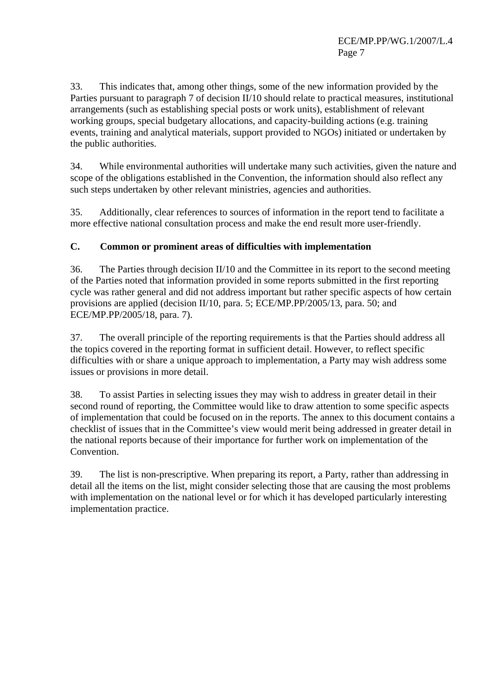33. This indicates that, among other things, some of the new information provided by the Parties pursuant to paragraph 7 of decision II/10 should relate to practical measures, institutional arrangements (such as establishing special posts or work units), establishment of relevant working groups, special budgetary allocations, and capacity-building actions (e.g. training events, training and analytical materials, support provided to NGOs) initiated or undertaken by the public authorities.

34. While environmental authorities will undertake many such activities, given the nature and scope of the obligations established in the Convention, the information should also reflect any such steps undertaken by other relevant ministries, agencies and authorities.

35. Additionally, clear references to sources of information in the report tend to facilitate a more effective national consultation process and make the end result more user-friendly.

## **C. Common or prominent areas of difficulties with implementation**

36. The Parties through decision II/10 and the Committee in its report to the second meeting of the Parties noted that information provided in some reports submitted in the first reporting cycle was rather general and did not address important but rather specific aspects of how certain provisions are applied (decision II/10, para. 5; ECE/MP.PP/2005/13, para. 50; and ECE/MP.PP/2005/18, para. 7).

37. The overall principle of the reporting requirements is that the Parties should address all the topics covered in the reporting format in sufficient detail. However, to reflect specific difficulties with or share a unique approach to implementation, a Party may wish address some issues or provisions in more detail.

38. To assist Parties in selecting issues they may wish to address in greater detail in their second round of reporting, the Committee would like to draw attention to some specific aspects of implementation that could be focused on in the reports. The annex to this document contains a checklist of issues that in the Committee's view would merit being addressed in greater detail in the national reports because of their importance for further work on implementation of the Convention.

39. The list is non-prescriptive. When preparing its report, a Party, rather than addressing in detail all the items on the list, might consider selecting those that are causing the most problems with implementation on the national level or for which it has developed particularly interesting implementation practice.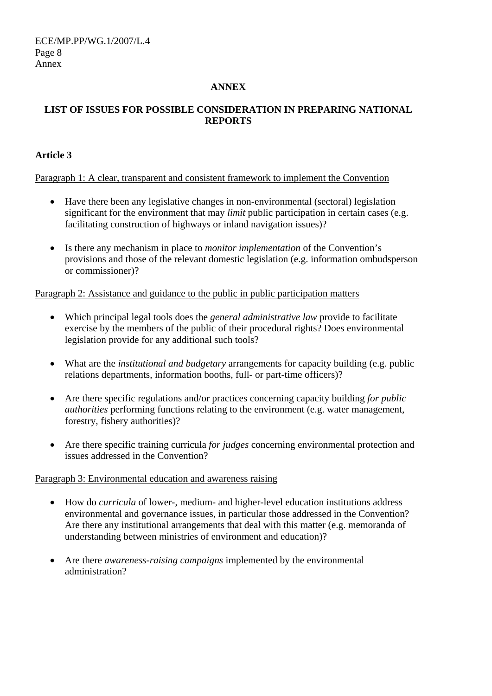ECE/MP.PP/WG.1/2007/L.4 Page 8 Annex

#### **ANNEX**

#### **LIST OF ISSUES FOR POSSIBLE CONSIDERATION IN PREPARING NATIONAL REPORTS**

#### **Article 3**

#### Paragraph 1: A clear, transparent and consistent framework to implement the Convention

- Have there been any legislative changes in non-environmental (sectoral) legislation significant for the environment that may *limit* public participation in certain cases (e.g. facilitating construction of highways or inland navigation issues)?
- Is there any mechanism in place to *monitor implementation* of the Convention's provisions and those of the relevant domestic legislation (e.g. information ombudsperson or commissioner)?

#### Paragraph 2: Assistance and guidance to the public in public participation matters

- Which principal legal tools does the *general administrative law* provide to facilitate exercise by the members of the public of their procedural rights? Does environmental legislation provide for any additional such tools?
- What are the *institutional and budgetary* arrangements for capacity building (e.g. public relations departments, information booths, full- or part-time officers)?
- Are there specific regulations and/or practices concerning capacity building *for public authorities* performing functions relating to the environment (e.g. water management, forestry, fishery authorities)?
- Are there specific training curricula *for judges* concerning environmental protection and issues addressed in the Convention?

#### Paragraph 3: Environmental education and awareness raising

- How do *curricula* of lower-, medium- and higher-level education institutions address environmental and governance issues, in particular those addressed in the Convention? Are there any institutional arrangements that deal with this matter (e.g. memoranda of understanding between ministries of environment and education)?
- Are there *awareness-raising campaigns* implemented by the environmental administration?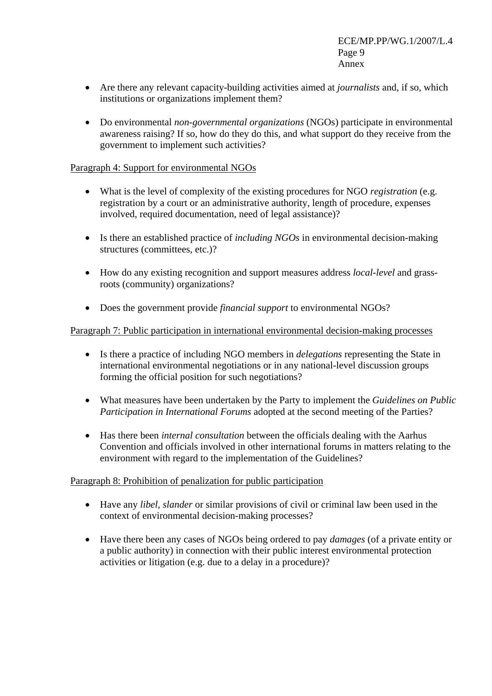- Are there any relevant capacity-building activities aimed at *journalists* and, if so, which institutions or organizations implement them?
- Do environmental *non-governmental organizations* (NGOs) participate in environmental awareness raising? If so, how do they do this, and what support do they receive from the government to implement such activities?

#### Paragraph 4: Support for environmental NGOs

- What is the level of complexity of the existing procedures for NGO *registration* (e.g. registration by a court or an administrative authority, length of procedure, expenses involved, required documentation, need of legal assistance)?
- Is there an established practice of *including NGOs* in environmental decision-making structures (committees, etc.)?
- How do any existing recognition and support measures address *local-level* and grassroots (community) organizations?
- Does the government provide *financial support* to environmental NGOs?

#### Paragraph 7: Public participation in international environmental decision-making processes

- Is there a practice of including NGO members in *delegations* representing the State in international environmental negotiations or in any national-level discussion groups forming the official position for such negotiations?
- What measures have been undertaken by the Party to implement the *Guidelines on Public Participation in International Forums* adopted at the second meeting of the Parties?
- Has there been *internal consultation* between the officials dealing with the Aarhus Convention and officials involved in other international forums in matters relating to the environment with regard to the implementation of the Guidelines?

#### Paragraph 8: Prohibition of penalization for public participation

- Have any *libel, slander* or similar provisions of civil or criminal law been used in the context of environmental decision-making processes?
- Have there been any cases of NGOs being ordered to pay *damages* (of a private entity or a public authority) in connection with their public interest environmental protection activities or litigation (e.g. due to a delay in a procedure)?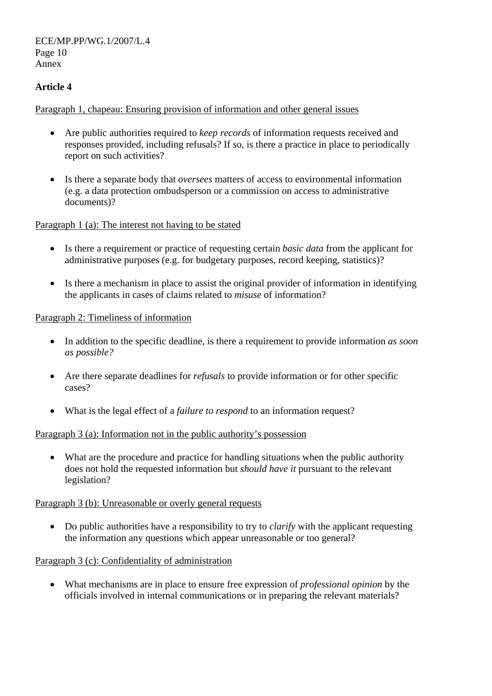ECE/MP.PP/WG.1/2007/L.4 Page 10 Annex

## **Article 4**

#### Paragraph 1, chapeau: Ensuring provision of information and other general issues

- Are public authorities required to *keep records* of information requests received and responses provided, including refusals? If so, is there a practice in place to periodically report on such activities?
- Is there a separate body that *oversees* matters of access to environmental information (e.g. a data protection ombudsperson or a commission on access to administrative documents)?

#### Paragraph 1 (a): The interest not having to be stated

- Is there a requirement or practice of requesting certain *basic data* from the applicant for administrative purposes (e.g. for budgetary purposes, record keeping, statistics)?
- Is there a mechanism in place to assist the original provider of information in identifying the applicants in cases of claims related to *misuse* of information?

#### Paragraph 2: Timeliness of information

- In addition to the specific deadline, is there a requirement to provide information *as soon as possible?*
- Are there separate deadlines for *refusals* to provide information or for other specific cases?
- What is the legal effect of a *failure to respond* to an information request?

#### Paragraph 3 (a): Information not in the public authority's possession

• What are the procedure and practice for handling situations when the public authority does not hold the requested information but *should have it* pursuant to the relevant legislation?

#### Paragraph 3 (b): Unreasonable or overly general requests

• Do public authorities have a responsibility to try to *clarify* with the applicant requesting the information any questions which appear unreasonable or too general?

#### Paragraph 3 (c): Confidentiality of administration

• What mechanisms are in place to ensure free expression of *professional opinion* by the officials involved in internal communications or in preparing the relevant materials?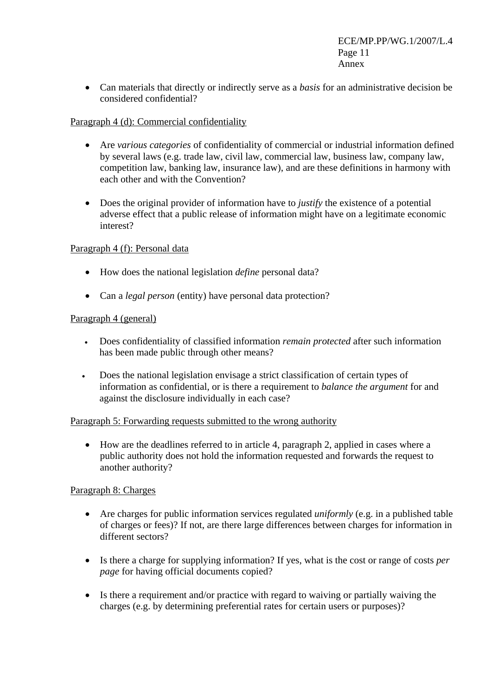• Can materials that directly or indirectly serve as a *basis* for an administrative decision be considered confidential?

#### Paragraph 4 (d): Commercial confidentiality

- Are *various categories* of confidentiality of commercial or industrial information defined by several laws (e.g. trade law, civil law, commercial law, business law, company law, competition law, banking law, insurance law), and are these definitions in harmony with each other and with the Convention?
- Does the original provider of information have to *justify* the existence of a potential adverse effect that a public release of information might have on a legitimate economic interest?

#### Paragraph 4 (f): Personal data

- How does the national legislation *define* personal data?
- Can a *legal person* (entity) have personal data protection?

#### Paragraph 4 (general)

- Does confidentiality of classified information *remain protected* after such information has been made public through other means?
- Does the national legislation envisage a strict classification of certain types of information as confidential, or is there a requirement to *balance the argument* for and against the disclosure individually in each case?

#### Paragraph 5: Forwarding requests submitted to the wrong authority

• How are the deadlines referred to in article 4, paragraph 2, applied in cases where a public authority does not hold the information requested and forwards the request to another authority?

#### Paragraph 8: Charges

- Are charges for public information services regulated *uniformly* (e.g. in a published table of charges or fees)? If not, are there large differences between charges for information in different sectors?
- Is there a charge for supplying information? If yes, what is the cost or range of costs *per page* for having official documents copied?
- Is there a requirement and/or practice with regard to waiving or partially waiving the charges (e.g. by determining preferential rates for certain users or purposes)?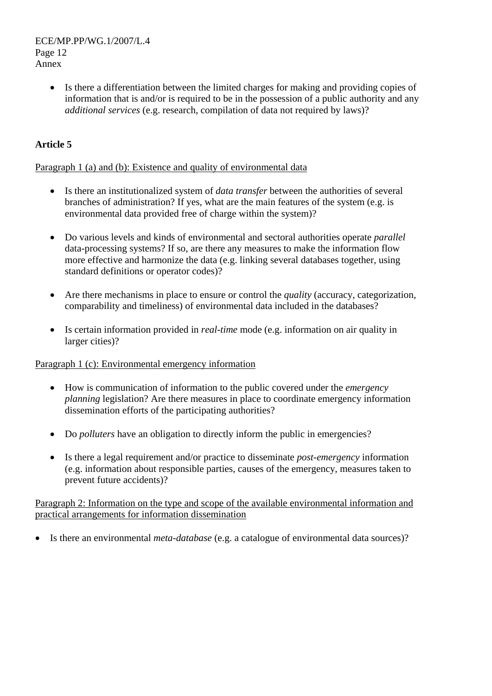ECE/MP.PP/WG.1/2007/L.4 Page 12 Annex

> • Is there a differentiation between the limited charges for making and providing copies of information that is and/or is required to be in the possession of a public authority and any *additional services* (e.g. research, compilation of data not required by laws)?

## **Article 5**

#### Paragraph 1 (a) and (b): Existence and quality of environmental data

- Is there an institutionalized system of *data transfer* between the authorities of several branches of administration? If yes, what are the main features of the system (e.g. is environmental data provided free of charge within the system)?
- Do various levels and kinds of environmental and sectoral authorities operate *parallel* data-processing systems? If so, are there any measures to make the information flow more effective and harmonize the data (e.g. linking several databases together, using standard definitions or operator codes)?
- Are there mechanisms in place to ensure or control the *quality* (accuracy, categorization, comparability and timeliness) of environmental data included in the databases?
- Is certain information provided in *real-time* mode (e.g. information on air quality in larger cities)?

#### Paragraph 1 (c): Environmental emergency information

- How is communication of information to the public covered under the *emergency planning* legislation? Are there measures in place to coordinate emergency information dissemination efforts of the participating authorities?
- Do *polluters* have an obligation to directly inform the public in emergencies?
- Is there a legal requirement and/or practice to disseminate *post-emergency* information (e.g. information about responsible parties, causes of the emergency, measures taken to prevent future accidents)?

#### Paragraph 2: Information on the type and scope of the available environmental information and practical arrangements for information dissemination

• Is there an environmental *meta-database* (e.g. a catalogue of environmental data sources)?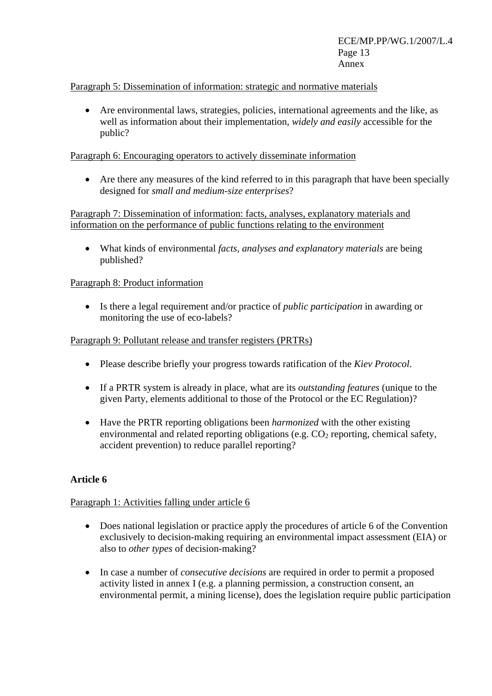#### Paragraph 5: Dissemination of information: strategic and normative materials

• Are environmental laws, strategies, policies, international agreements and the like, as well as information about their implementation, *widely and easily* accessible for the public?

#### Paragraph 6: Encouraging operators to actively disseminate information

• Are there any measures of the kind referred to in this paragraph that have been specially designed for *small and medium-size enterprises*?

#### Paragraph 7: Dissemination of information: facts, analyses, explanatory materials and information on the performance of public functions relating to the environment

• What kinds of environmental *facts, analyses and explanatory materials* are being published?

#### Paragraph 8: Product information

• Is there a legal requirement and/or practice of *public participation* in awarding or monitoring the use of eco-labels?

#### Paragraph 9: Pollutant release and transfer registers (PRTRs)

- Please describe briefly your progress towards ratification of the *Kiev Protocol*.
- If a PRTR system is already in place, what are its *outstanding features* (unique to the given Party, elements additional to those of the Protocol or the EC Regulation)?
- Have the PRTR reporting obligations been *harmonized* with the other existing environmental and related reporting obligations (e.g.  $CO<sub>2</sub>$  reporting, chemical safety, accident prevention) to reduce parallel reporting?

#### **Article 6**

#### Paragraph 1: Activities falling under article 6

- Does national legislation or practice apply the procedures of article 6 of the Convention exclusively to decision-making requiring an environmental impact assessment (EIA) or also to *other types* of decision-making?
- In case a number of *consecutive decisions* are required in order to permit a proposed activity listed in annex I (e.g. a planning permission, a construction consent, an environmental permit, a mining license), does the legislation require public participation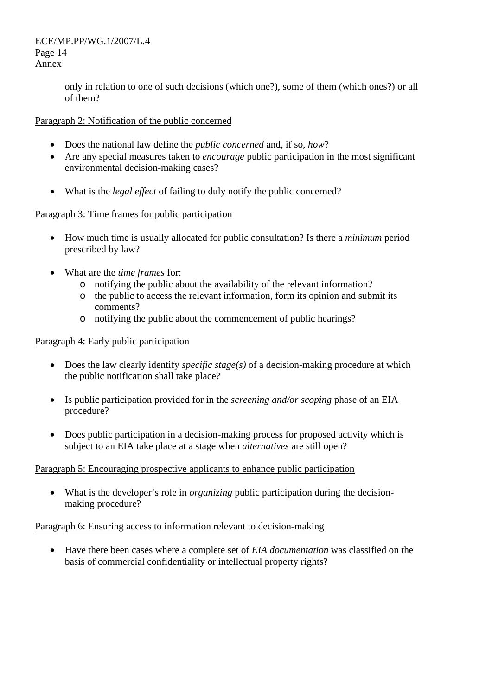ECE/MP.PP/WG.1/2007/L.4 Page 14 Annex

> only in relation to one of such decisions (which one?), some of them (which ones?) or all of them?

#### Paragraph 2: Notification of the public concerned

- Does the national law define the *public concerned* and, if so, *how*?
- Are any special measures taken to *encourage* public participation in the most significant environmental decision-making cases?
- What is the *legal effect* of failing to duly notify the public concerned?

#### Paragraph 3: Time frames for public participation

- How much time is usually allocated for public consultation? Is there a *minimum* period prescribed by law?
- What are the *time frames* for:
	- o notifying the public about the availability of the relevant information?
	- o the public to access the relevant information, form its opinion and submit its comments?
	- o notifying the public about the commencement of public hearings?

#### Paragraph 4: Early public participation

- Does the law clearly identify *specific stage(s)* of a decision-making procedure at which the public notification shall take place?
- Is public participation provided for in the *screening and/or scoping* phase of an EIA procedure?
- Does public participation in a decision-making process for proposed activity which is subject to an EIA take place at a stage when *alternatives* are still open?

#### Paragraph 5: Encouraging prospective applicants to enhance public participation

• What is the developer's role in *organizing* public participation during the decisionmaking procedure?

#### Paragraph 6: Ensuring access to information relevant to decision-making

• Have there been cases where a complete set of *EIA documentation* was classified on the basis of commercial confidentiality or intellectual property rights?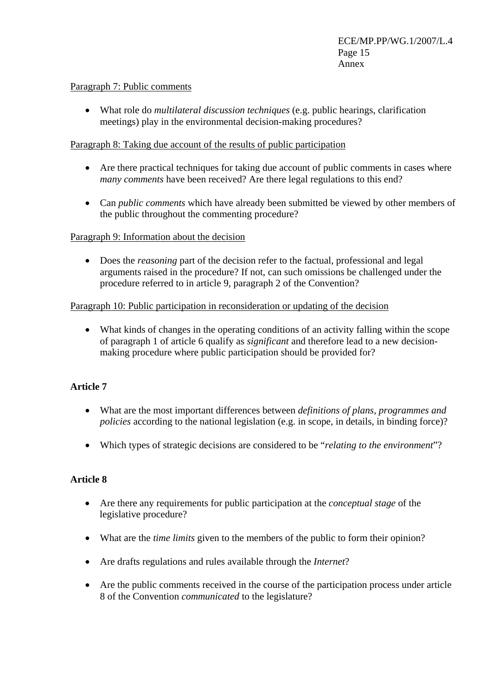#### Paragraph 7: Public comments

• What role do *multilateral discussion techniques* (e.g. public hearings, clarification meetings) play in the environmental decision-making procedures?

#### Paragraph 8: Taking due account of the results of public participation

- Are there practical techniques for taking due account of public comments in cases where *many comments* have been received? Are there legal regulations to this end?
- Can *public comments* which have already been submitted be viewed by other members of the public throughout the commenting procedure?

#### Paragraph 9: Information about the decision

• Does the *reasoning* part of the decision refer to the factual, professional and legal arguments raised in the procedure? If not, can such omissions be challenged under the procedure referred to in article 9, paragraph 2 of the Convention?

#### Paragraph 10: Public participation in reconsideration or updating of the decision

• What kinds of changes in the operating conditions of an activity falling within the scope of paragraph 1 of article 6 qualify as *significant* and therefore lead to a new decisionmaking procedure where public participation should be provided for?

#### **Article 7**

- What are the most important differences between *definitions of plans, programmes and policies* according to the national legislation (e.g. in scope, in details, in binding force)?
- Which types of strategic decisions are considered to be "*relating to the environment*"?

#### **Article 8**

- Are there any requirements for public participation at the *conceptual stage* of the legislative procedure?
- What are the *time limits* given to the members of the public to form their opinion?
- Are drafts regulations and rules available through the *Internet*?
- Are the public comments received in the course of the participation process under article 8 of the Convention *communicated* to the legislature?